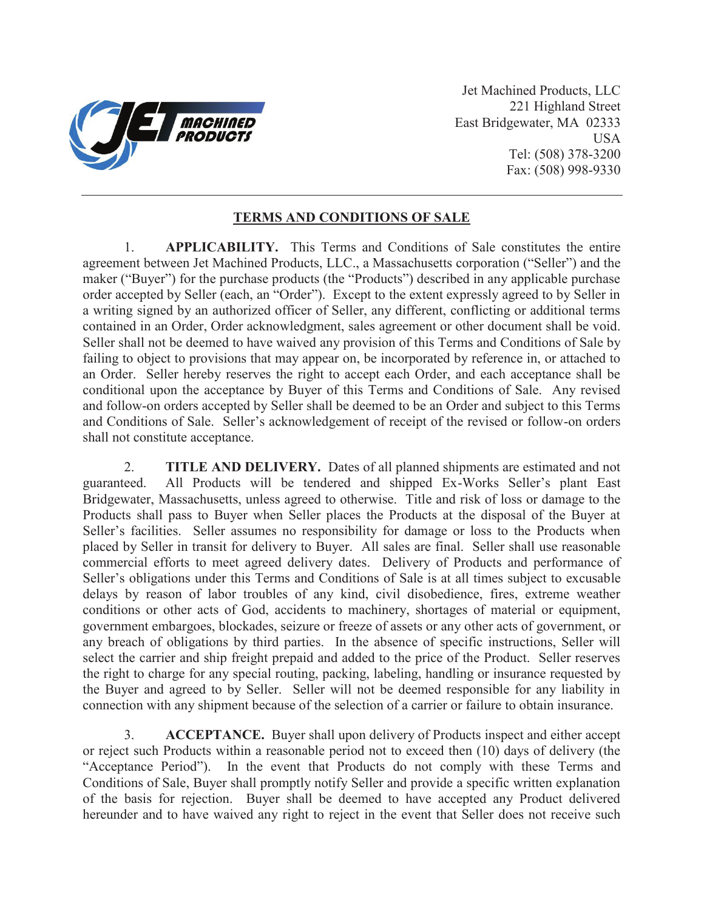

Jet Machined Products, LLC 221 Highland Street East Bridgewater, MA 02333 USA Tel: (508) 378-3200 Fax: (508) 998-9330

## **TERMS AND CONDITIONS OF SALE**

1. **APPLICABILITY.** This Terms and Conditions of Sale constitutes the entire agreement between Jet Machined Products, LLC., a Massachusetts corporation ("Seller") and the maker ("Buyer") for the purchase products (the "Products") described in any applicable purchase order accepted by Seller (each, an "Order"). Except to the extent expressly agreed to by Seller in a writing signed by an authorized officer of Seller, any different, conflicting or additional terms contained in an Order, Order acknowledgment, sales agreement or other document shall be void. Seller shall not be deemed to have waived any provision of this Terms and Conditions of Sale by failing to object to provisions that may appear on, be incorporated by reference in, or attached to an Order. Seller hereby reserves the right to accept each Order, and each acceptance shall be conditional upon the acceptance by Buyer of this Terms and Conditions of Sale. Any revised and follow-on orders accepted by Seller shall be deemed to be an Order and subject to this Terms and Conditions of Sale. Seller's acknowledgement of receipt of the revised or follow-on orders shall not constitute acceptance.

2. **TITLE AND DELIVERY.** Dates of all planned shipments are estimated and not guaranteed. All Products will be tendered and shipped Ex-Works Seller's plant East Bridgewater, Massachusetts, unless agreed to otherwise. Title and risk of loss or damage to the Products shall pass to Buyer when Seller places the Products at the disposal of the Buyer at Seller's facilities. Seller assumes no responsibility for damage or loss to the Products when placed by Seller in transit for delivery to Buyer. All sales are final. Seller shall use reasonable commercial efforts to meet agreed delivery dates. Delivery of Products and performance of Seller's obligations under this Terms and Conditions of Sale is at all times subject to excusable delays by reason of labor troubles of any kind, civil disobedience, fires, extreme weather conditions or other acts of God, accidents to machinery, shortages of material or equipment, government embargoes, blockades, seizure or freeze of assets or any other acts of government, or any breach of obligations by third parties. In the absence of specific instructions, Seller will select the carrier and ship freight prepaid and added to the price of the Product. Seller reserves the right to charge for any special routing, packing, labeling, handling or insurance requested by the Buyer and agreed to by Seller. Seller will not be deemed responsible for any liability in connection with any shipment because of the selection of a carrier or failure to obtain insurance.

3. **ACCEPTANCE.** Buyer shall upon delivery of Products inspect and either accept or reject such Products within a reasonable period not to exceed then (10) days of delivery (the "Acceptance Period"). In the event that Products do not comply with these Terms and Conditions of Sale, Buyer shall promptly notify Seller and provide a specific written explanation of the basis for rejection. Buyer shall be deemed to have accepted any Product delivered hereunder and to have waived any right to reject in the event that Seller does not receive such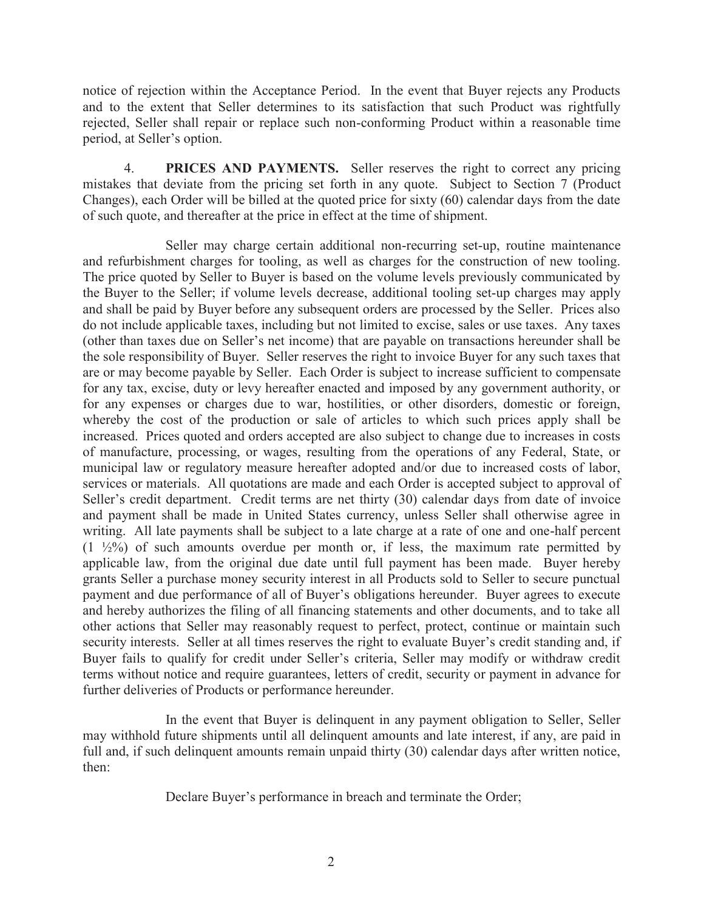notice of rejection within the Acceptance Period. In the event that Buyer rejects any Products and to the extent that Seller determines to its satisfaction that such Product was rightfully rejected, Seller shall repair or replace such non-conforming Product within a reasonable time period, at Seller's option.

4. **PRICES AND PAYMENTS.** Seller reserves the right to correct any pricing mistakes that deviate from the pricing set forth in any quote. Subject to Section 7 (Product Changes), each Order will be billed at the quoted price for sixty (60) calendar days from the date of such quote, and thereafter at the price in effect at the time of shipment.

Seller may charge certain additional non-recurring set-up, routine maintenance and refurbishment charges for tooling, as well as charges for the construction of new tooling. The price quoted by Seller to Buyer is based on the volume levels previously communicated by the Buyer to the Seller; if volume levels decrease, additional tooling set-up charges may apply and shall be paid by Buyer before any subsequent orders are processed by the Seller. Prices also do not include applicable taxes, including but not limited to excise, sales or use taxes. Any taxes (other than taxes due on Seller's net income) that are payable on transactions hereunder shall be the sole responsibility of Buyer. Seller reserves the right to invoice Buyer for any such taxes that are or may become payable by Seller. Each Order is subject to increase sufficient to compensate for any tax, excise, duty or levy hereafter enacted and imposed by any government authority, or for any expenses or charges due to war, hostilities, or other disorders, domestic or foreign, whereby the cost of the production or sale of articles to which such prices apply shall be increased. Prices quoted and orders accepted are also subject to change due to increases in costs of manufacture, processing, or wages, resulting from the operations of any Federal, State, or municipal law or regulatory measure hereafter adopted and/or due to increased costs of labor, services or materials. All quotations are made and each Order is accepted subject to approval of Seller's credit department. Credit terms are net thirty (30) calendar days from date of invoice and payment shall be made in United States currency, unless Seller shall otherwise agree in writing. All late payments shall be subject to a late charge at a rate of one and one-half percent  $(1 \frac{1}{2}\%)$  of such amounts overdue per month or, if less, the maximum rate permitted by applicable law, from the original due date until full payment has been made. Buyer hereby grants Seller a purchase money security interest in all Products sold to Seller to secure punctual payment and due performance of all of Buyer's obligations hereunder. Buyer agrees to execute and hereby authorizes the filing of all financing statements and other documents, and to take all other actions that Seller may reasonably request to perfect, protect, continue or maintain such security interests. Seller at all times reserves the right to evaluate Buyer's credit standing and, if Buyer fails to qualify for credit under Seller's criteria, Seller may modify or withdraw credit terms without notice and require guarantees, letters of credit, security or payment in advance for further deliveries of Products or performance hereunder.

In the event that Buyer is delinquent in any payment obligation to Seller, Seller may withhold future shipments until all delinquent amounts and late interest, if any, are paid in full and, if such delinquent amounts remain unpaid thirty (30) calendar days after written notice, then:

Declare Buyer's performance in breach and terminate the Order;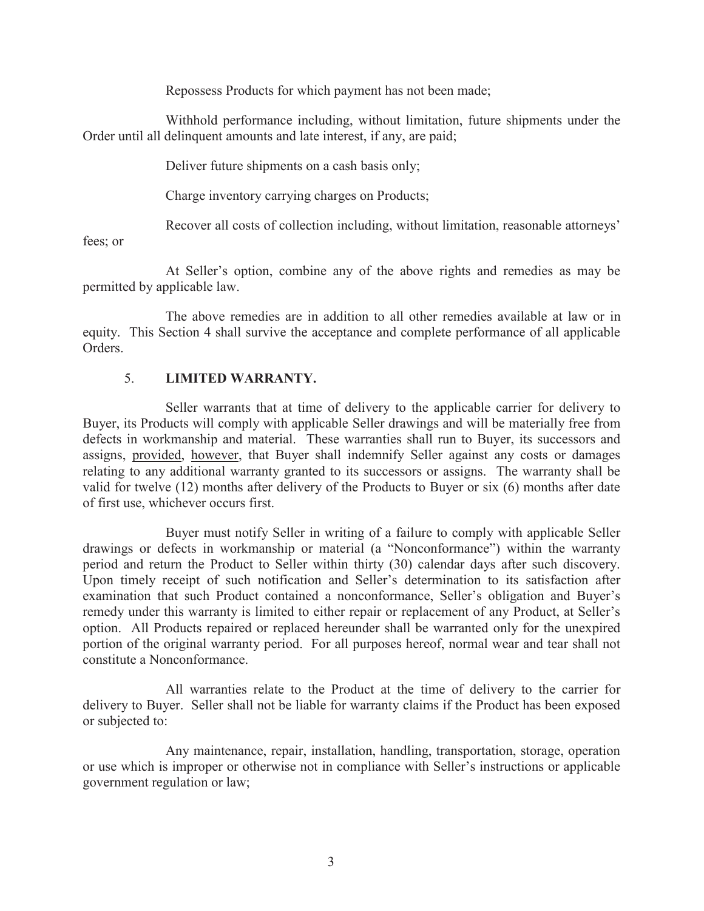Repossess Products for which payment has not been made;

Withhold performance including, without limitation, future shipments under the Order until all delinquent amounts and late interest, if any, are paid;

Deliver future shipments on a cash basis only;

Charge inventory carrying charges on Products;

Recover all costs of collection including, without limitation, reasonable attorneys'

fees; or

At Seller's option, combine any of the above rights and remedies as may be permitted by applicable law.

The above remedies are in addition to all other remedies available at law or in equity. This Section 4 shall survive the acceptance and complete performance of all applicable Orders.

## 5. **LIMITED WARRANTY.**

Seller warrants that at time of delivery to the applicable carrier for delivery to Buyer, its Products will comply with applicable Seller drawings and will be materially free from defects in workmanship and material. These warranties shall run to Buyer, its successors and assigns, provided, however, that Buyer shall indemnify Seller against any costs or damages relating to any additional warranty granted to its successors or assigns. The warranty shall be valid for twelve (12) months after delivery of the Products to Buyer or six (6) months after date of first use, whichever occurs first.

Buyer must notify Seller in writing of a failure to comply with applicable Seller drawings or defects in workmanship or material (a "Nonconformance") within the warranty period and return the Product to Seller within thirty (30) calendar days after such discovery. Upon timely receipt of such notification and Seller's determination to its satisfaction after examination that such Product contained a nonconformance, Seller's obligation and Buyer's remedy under this warranty is limited to either repair or replacement of any Product, at Seller's option. All Products repaired or replaced hereunder shall be warranted only for the unexpired portion of the original warranty period. For all purposes hereof, normal wear and tear shall not constitute a Nonconformance.

All warranties relate to the Product at the time of delivery to the carrier for delivery to Buyer. Seller shall not be liable for warranty claims if the Product has been exposed or subjected to:

Any maintenance, repair, installation, handling, transportation, storage, operation or use which is improper or otherwise not in compliance with Seller's instructions or applicable government regulation or law;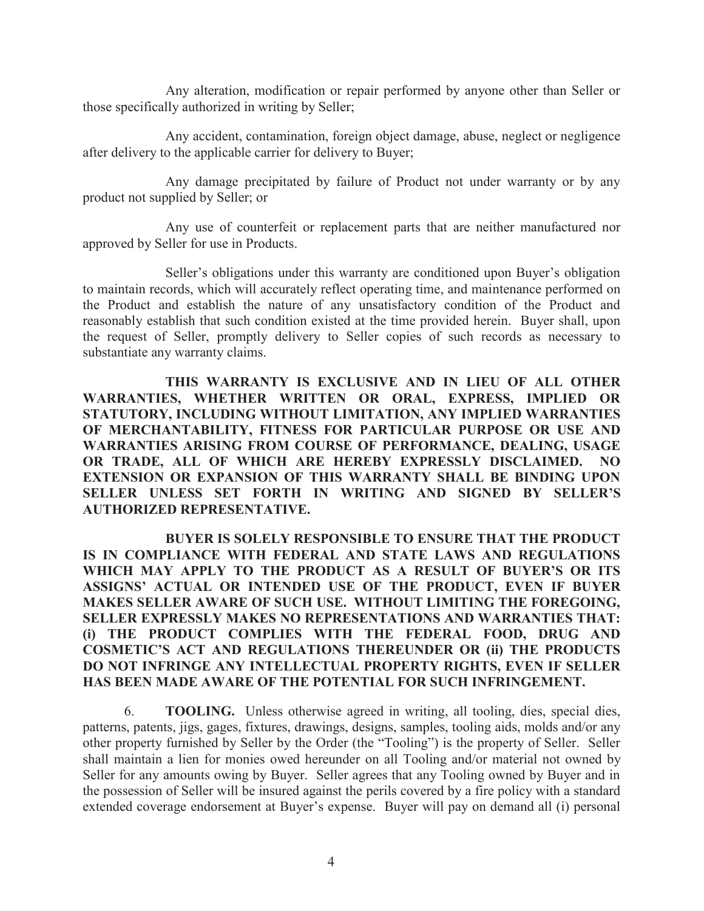Any alteration, modification or repair performed by anyone other than Seller or those specifically authorized in writing by Seller;

Any accident, contamination, foreign object damage, abuse, neglect or negligence after delivery to the applicable carrier for delivery to Buyer;

Any damage precipitated by failure of Product not under warranty or by any product not supplied by Seller; or

Any use of counterfeit or replacement parts that are neither manufactured nor approved by Seller for use in Products.

Seller's obligations under this warranty are conditioned upon Buyer's obligation to maintain records, which will accurately reflect operating time, and maintenance performed on the Product and establish the nature of any unsatisfactory condition of the Product and reasonably establish that such condition existed at the time provided herein. Buyer shall, upon the request of Seller, promptly delivery to Seller copies of such records as necessary to substantiate any warranty claims.

**THIS WARRANTY IS EXCLUSIVE AND IN LIEU OF ALL OTHER WARRANTIES, WHETHER WRITTEN OR ORAL, EXPRESS, IMPLIED OR STATUTORY, INCLUDING WITHOUT LIMITATION, ANY IMPLIED WARRANTIES OF MERCHANTABILITY, FITNESS FOR PARTICULAR PURPOSE OR USE AND WARRANTIES ARISING FROM COURSE OF PERFORMANCE, DEALING, USAGE OR TRADE, ALL OF WHICH ARE HEREBY EXPRESSLY DISCLAIMED. NO EXTENSION OR EXPANSION OF THIS WARRANTY SHALL BE BINDING UPON SELLER UNLESS SET FORTH IN WRITING AND SIGNED BY SELLER'S AUTHORIZED REPRESENTATIVE.**

**BUYER IS SOLELY RESPONSIBLE TO ENSURE THAT THE PRODUCT IS IN COMPLIANCE WITH FEDERAL AND STATE LAWS AND REGULATIONS WHICH MAY APPLY TO THE PRODUCT AS A RESULT OF BUYER'S OR ITS ASSIGNS' ACTUAL OR INTENDED USE OF THE PRODUCT, EVEN IF BUYER MAKES SELLER AWARE OF SUCH USE. WITHOUT LIMITING THE FOREGOING, SELLER EXPRESSLY MAKES NO REPRESENTATIONS AND WARRANTIES THAT: (i) THE PRODUCT COMPLIES WITH THE FEDERAL FOOD, DRUG AND COSMETIC'S ACT AND REGULATIONS THEREUNDER OR (ii) THE PRODUCTS DO NOT INFRINGE ANY INTELLECTUAL PROPERTY RIGHTS, EVEN IF SELLER HAS BEEN MADE AWARE OF THE POTENTIAL FOR SUCH INFRINGEMENT.**

6. **TOOLING.** Unless otherwise agreed in writing, all tooling, dies, special dies, patterns, patents, jigs, gages, fixtures, drawings, designs, samples, tooling aids, molds and/or any other property furnished by Seller by the Order (the "Tooling") is the property of Seller. Seller shall maintain a lien for monies owed hereunder on all Tooling and/or material not owned by Seller for any amounts owing by Buyer. Seller agrees that any Tooling owned by Buyer and in the possession of Seller will be insured against the perils covered by a fire policy with a standard extended coverage endorsement at Buyer's expense. Buyer will pay on demand all (i) personal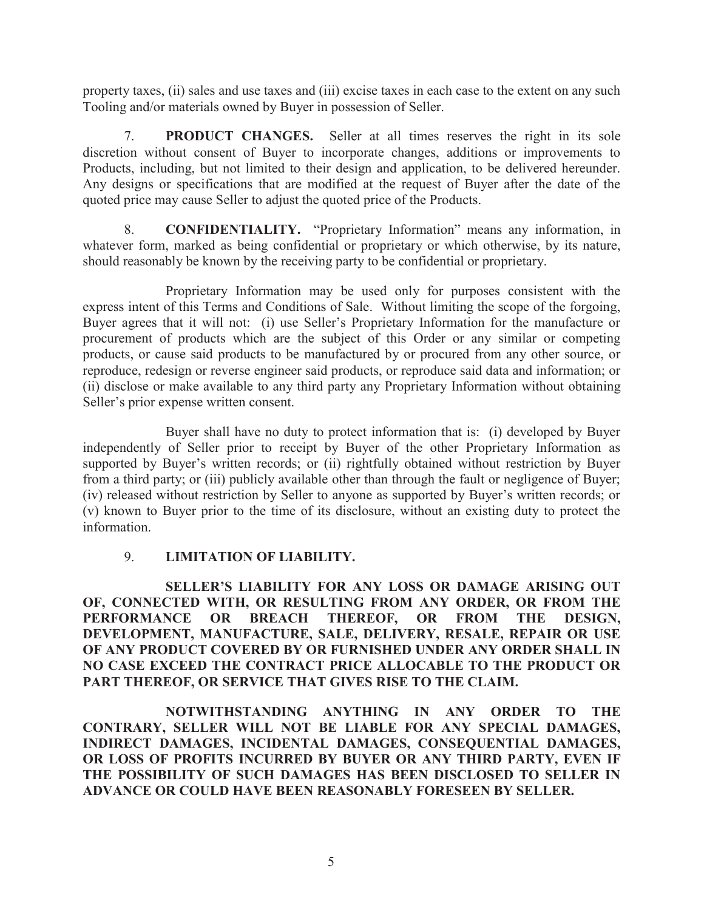property taxes, (ii) sales and use taxes and (iii) excise taxes in each case to the extent on any such Tooling and/or materials owned by Buyer in possession of Seller.

7. **PRODUCT CHANGES.** Seller at all times reserves the right in its sole discretion without consent of Buyer to incorporate changes, additions or improvements to Products, including, but not limited to their design and application, to be delivered hereunder. Any designs or specifications that are modified at the request of Buyer after the date of the quoted price may cause Seller to adjust the quoted price of the Products.

8. **CONFIDENTIALITY.** "Proprietary Information" means any information, in whatever form, marked as being confidential or proprietary or which otherwise, by its nature, should reasonably be known by the receiving party to be confidential or proprietary.

Proprietary Information may be used only for purposes consistent with the express intent of this Terms and Conditions of Sale. Without limiting the scope of the forgoing, Buyer agrees that it will not: (i) use Seller's Proprietary Information for the manufacture or procurement of products which are the subject of this Order or any similar or competing products, or cause said products to be manufactured by or procured from any other source, or reproduce, redesign or reverse engineer said products, or reproduce said data and information; or (ii) disclose or make available to any third party any Proprietary Information without obtaining Seller's prior expense written consent.

Buyer shall have no duty to protect information that is: (i) developed by Buyer independently of Seller prior to receipt by Buyer of the other Proprietary Information as supported by Buyer's written records; or (ii) rightfully obtained without restriction by Buyer from a third party; or (iii) publicly available other than through the fault or negligence of Buyer; (iv) released without restriction by Seller to anyone as supported by Buyer's written records; or (v) known to Buyer prior to the time of its disclosure, without an existing duty to protect the information.

## 9. **LIMITATION OF LIABILITY.**

**SELLER'S LIABILITY FOR ANY LOSS OR DAMAGE ARISING OUT OF, CONNECTED WITH, OR RESULTING FROM ANY ORDER, OR FROM THE PERFORMANCE OR BREACH THEREOF, OR FROM THE DESIGN, DEVELOPMENT, MANUFACTURE, SALE, DELIVERY, RESALE, REPAIR OR USE OF ANY PRODUCT COVERED BY OR FURNISHED UNDER ANY ORDER SHALL IN NO CASE EXCEED THE CONTRACT PRICE ALLOCABLE TO THE PRODUCT OR PART THEREOF, OR SERVICE THAT GIVES RISE TO THE CLAIM.**

**NOTWITHSTANDING ANYTHING IN ANY ORDER TO THE CONTRARY, SELLER WILL NOT BE LIABLE FOR ANY SPECIAL DAMAGES, INDIRECT DAMAGES, INCIDENTAL DAMAGES, CONSEQUENTIAL DAMAGES, OR LOSS OF PROFITS INCURRED BY BUYER OR ANY THIRD PARTY, EVEN IF THE POSSIBILITY OF SUCH DAMAGES HAS BEEN DISCLOSED TO SELLER IN ADVANCE OR COULD HAVE BEEN REASONABLY FORESEEN BY SELLER.**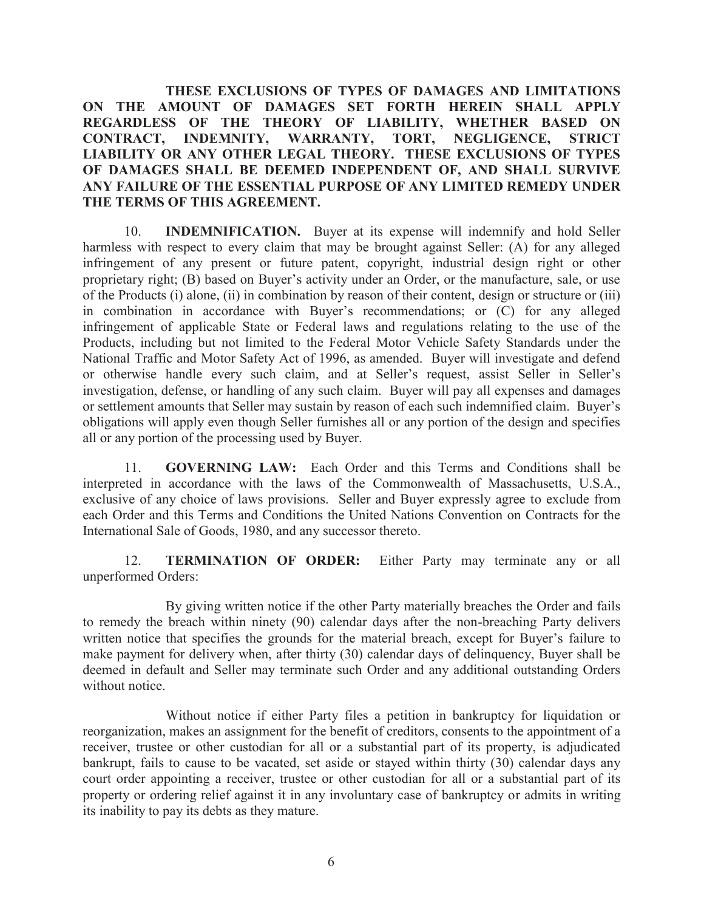**THESE EXCLUSIONS OF TYPES OF DAMAGES AND LIMITATIONS ON THE AMOUNT OF DAMAGES SET FORTH HEREIN SHALL APPLY REGARDLESS OF THE THEORY OF LIABILITY, WHETHER BASED ON CONTRACT, INDEMNITY, WARRANTY, TORT, NEGLIGENCE, STRICT LIABILITY OR ANY OTHER LEGAL THEORY. THESE EXCLUSIONS OF TYPES OF DAMAGES SHALL BE DEEMED INDEPENDENT OF, AND SHALL SURVIVE ANY FAILURE OF THE ESSENTIAL PURPOSE OF ANY LIMITED REMEDY UNDER THE TERMS OF THIS AGREEMENT.**

10. **INDEMNIFICATION.** Buyer at its expense will indemnify and hold Seller harmless with respect to every claim that may be brought against Seller: (A) for any alleged infringement of any present or future patent, copyright, industrial design right or other proprietary right; (B) based on Buyer's activity under an Order, or the manufacture, sale, or use of the Products (i) alone, (ii) in combination by reason of their content, design or structure or (iii) in combination in accordance with Buyer's recommendations; or (C) for any alleged infringement of applicable State or Federal laws and regulations relating to the use of the Products, including but not limited to the Federal Motor Vehicle Safety Standards under the National Traffic and Motor Safety Act of 1996, as amended. Buyer will investigate and defend or otherwise handle every such claim, and at Seller's request, assist Seller in Seller's investigation, defense, or handling of any such claim. Buyer will pay all expenses and damages or settlement amounts that Seller may sustain by reason of each such indemnified claim. Buyer's obligations will apply even though Seller furnishes all or any portion of the design and specifies all or any portion of the processing used by Buyer.

11. **GOVERNING LAW:** Each Order and this Terms and Conditions shall be interpreted in accordance with the laws of the Commonwealth of Massachusetts, U.S.A., exclusive of any choice of laws provisions. Seller and Buyer expressly agree to exclude from each Order and this Terms and Conditions the United Nations Convention on Contracts for the International Sale of Goods, 1980, and any successor thereto.

12. **TERMINATION OF ORDER:** Either Party may terminate any or all unperformed Orders:

By giving written notice if the other Party materially breaches the Order and fails to remedy the breach within ninety (90) calendar days after the non-breaching Party delivers written notice that specifies the grounds for the material breach, except for Buyer's failure to make payment for delivery when, after thirty (30) calendar days of delinquency, Buyer shall be deemed in default and Seller may terminate such Order and any additional outstanding Orders without notice

Without notice if either Party files a petition in bankruptcy for liquidation or reorganization, makes an assignment for the benefit of creditors, consents to the appointment of a receiver, trustee or other custodian for all or a substantial part of its property, is adjudicated bankrupt, fails to cause to be vacated, set aside or stayed within thirty (30) calendar days any court order appointing a receiver, trustee or other custodian for all or a substantial part of its property or ordering relief against it in any involuntary case of bankruptcy or admits in writing its inability to pay its debts as they mature.